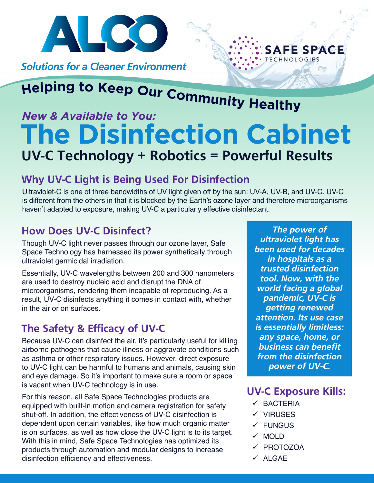

**Solutions for a Cleaner Environment** 

# *New & Available to You:*

## **The Disinfection Cabinet UV-C Technology + Robotics = Powerful Results**

### **Why UV-C Light is Being Used For Disinfection**

Ultraviolet-C is one of three bandwidths of UV light given off by the sun: UV-A, UV-B, and UV-C. UV-C is different from the others in that it is blocked by the Earth's ozone layer and therefore microorganisms haven't adapted to exposure, making UV-C a particularly effective disinfectant.

### **How Does UV-C Disinfect?**

Though UV-C light never passes through our ozone layer, Safe Space Technology has harnessed its power synthetically through ultraviolet germicidal irradiation.

Essentially, UV-C wavelengths between 200 and 300 nanometers are used to destroy nucleic acid and disrupt the DNA of microorganisms, rendering them incapable of reproducing. As a result, UV-C disinfects anything it comes in contact with, whether in the air or on surfaces.

### **The Safety & Efficacy of UV-C**

Because UV-C can disinfect the air, it's particularly useful for killing airborne pathogens that cause illness or aggravate conditions such as asthma or other respiratory issues. However, direct exposure to UV-C light can be harmful to humans and animals, causing skin and eye damage. So it's important to make sure a room or space is vacant when UV-C technology is in use.

For this reason, all Safe Space Technologies products are equipped with built-in motion and camera registration for safety shut-off. In addition, the effectiveness of UV-C disinfection is dependent upon certain variables, like how much organic matter is on surfaces, as well as how close the UV-C light is to its target. With this in mind, Safe Space Technologies has optimized its products through automation and modular designs to increase disinfection efficiency and effectiveness.

*The power of ultraviolet light has been used for decades in hospitals as a trusted disinfection tool. Now, with the world facing a global pandemic, UV-C is getting renewed attention. Its use case is essentially limitless: any space, home, or business can benefit from the disinfection power of UV-C.* 

**SAFE SPACE** 

### **UV-C Exposure Kills:**

- $\checkmark$  BACTERIA
- $\checkmark$  VIRUSES
- $\checkmark$  FUNGUS
- $\times$  MOLD
- √ PROTOZOA
- $V$  ALGAE